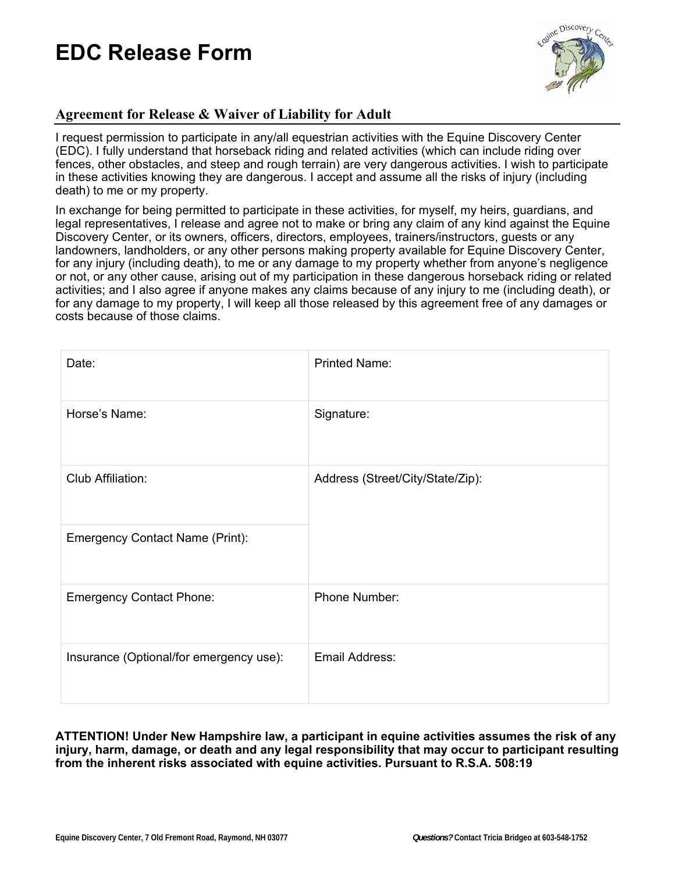

### **Agreement for Release & Waiver of Liability for Adult**

I request permission to participate in any/all equestrian activities with the Equine Discovery Center (EDC). I fully understand that horseback riding and related activities (which can include riding over fences, other obstacles, and steep and rough terrain) are very dangerous activities. I wish to participate in these activities knowing they are dangerous. I accept and assume all the risks of injury (including death) to me or my property.

In exchange for being permitted to participate in these activities, for myself, my heirs, guardians, and legal representatives, I release and agree not to make or bring any claim of any kind against the Equine Discovery Center, or its owners, officers, directors, employees, trainers/instructors, guests or any landowners, landholders, or any other persons making property available for Equine Discovery Center, for any injury (including death), to me or any damage to my property whether from anyone's negligence or not, or any other cause, arising out of my participation in these dangerous horseback riding or related activities; and I also agree if anyone makes any claims because of any injury to me (including death), or for any damage to my property, I will keep all those released by this agreement free of any damages or costs because of those claims.

| Date:                                   | <b>Printed Name:</b>             |
|-----------------------------------------|----------------------------------|
| Horse's Name:                           | Signature:                       |
| Club Affiliation:                       | Address (Street/City/State/Zip): |
| <b>Emergency Contact Name (Print):</b>  |                                  |
| <b>Emergency Contact Phone:</b>         | Phone Number:                    |
| Insurance (Optional/for emergency use): | Email Address:                   |

#### **ATTENTION! Under New Hampshire law, a participant in equine activities assumes the risk of any injury, harm, damage, or death and any legal responsibility that may occur to participant resulting from the inherent risks associated with equine activities. Pursuant to R.S.A. 508:19**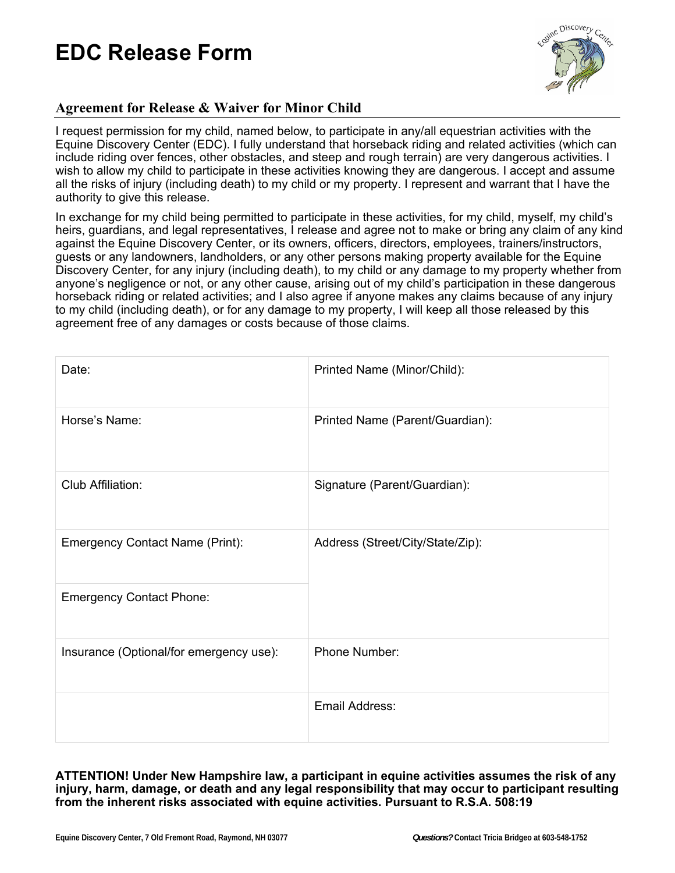

### **Agreement for Release & Waiver for Minor Child**

I request permission for my child, named below, to participate in any/all equestrian activities with the Equine Discovery Center (EDC). I fully understand that horseback riding and related activities (which can include riding over fences, other obstacles, and steep and rough terrain) are very dangerous activities. I wish to allow my child to participate in these activities knowing they are dangerous. I accept and assume all the risks of injury (including death) to my child or my property. I represent and warrant that I have the authority to give this release.

In exchange for my child being permitted to participate in these activities, for my child, myself, my child's heirs, guardians, and legal representatives, I release and agree not to make or bring any claim of any kind against the Equine Discovery Center, or its owners, officers, directors, employees, trainers/instructors, guests or any landowners, landholders, or any other persons making property available for the Equine Discovery Center, for any injury (including death), to my child or any damage to my property whether from anyone's negligence or not, or any other cause, arising out of my child's participation in these dangerous horseback riding or related activities; and I also agree if anyone makes any claims because of any injury to my child (including death), or for any damage to my property, I will keep all those released by this agreement free of any damages or costs because of those claims.

| Date:                                   | Printed Name (Minor/Child):      |
|-----------------------------------------|----------------------------------|
| Horse's Name:                           | Printed Name (Parent/Guardian):  |
| Club Affiliation:                       | Signature (Parent/Guardian):     |
| <b>Emergency Contact Name (Print):</b>  | Address (Street/City/State/Zip): |
| <b>Emergency Contact Phone:</b>         |                                  |
| Insurance (Optional/for emergency use): | Phone Number:                    |
|                                         | Email Address:                   |

**ATTENTION! Under New Hampshire law, a participant in equine activities assumes the risk of any injury, harm, damage, or death and any legal responsibility that may occur to participant resulting from the inherent risks associated with equine activities. Pursuant to R.S.A. 508:19**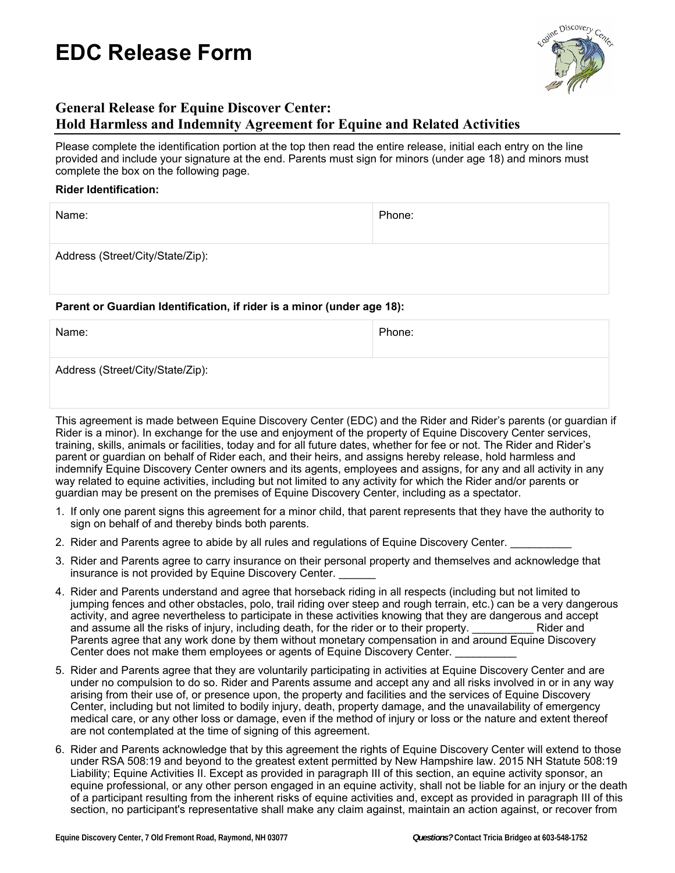

### **General Release for Equine Discover Center: Hold Harmless and Indemnity Agreement for Equine and Related Activities**

Please complete the identification portion at the top then read the entire release, initial each entry on the line provided and include your signature at the end. Parents must sign for minors (under age 18) and minors must complete the box on the following page.

#### **Rider Identification:**

| Name:                            | Phone: |
|----------------------------------|--------|
| Address (Street/City/State/Zip): |        |

#### **Parent or Guardian Identification, if rider is a minor (under age 18):**

| Name:                            | Phone: |
|----------------------------------|--------|
| Address (Street/City/State/Zip): |        |

This agreement is made between Equine Discovery Center (EDC) and the Rider and Rider's parents (or guardian if Rider is a minor). In exchange for the use and enjoyment of the property of Equine Discovery Center services, training, skills, animals or facilities, today and for all future dates, whether for fee or not. The Rider and Rider's parent or guardian on behalf of Rider each, and their heirs, and assigns hereby release, hold harmless and indemnify Equine Discovery Center owners and its agents, employees and assigns, for any and all activity in any way related to equine activities, including but not limited to any activity for which the Rider and/or parents or guardian may be present on the premises of Equine Discovery Center, including as a spectator.

- 1. If only one parent signs this agreement for a minor child, that parent represents that they have the authority to sign on behalf of and thereby binds both parents.
- 2. Rider and Parents agree to abide by all rules and regulations of Equine Discovery Center.
- 3. Rider and Parents agree to carry insurance on their personal property and themselves and acknowledge that insurance is not provided by Equine Discovery Center.
- 4. Rider and Parents understand and agree that horseback riding in all respects (including but not limited to jumping fences and other obstacles, polo, trail riding over steep and rough terrain, etc.) can be a very dangerous activity, and agree nevertheless to participate in these activities knowing that they are dangerous and accept and assume all the risks of injury, including death, for the rider or to their property. **Example 18 Rider and** Parents agree that any work done by them without monetary compensation in and around Equine Discovery Center does not make them employees or agents of Equine Discovery Center.
- 5. Rider and Parents agree that they are voluntarily participating in activities at Equine Discovery Center and are under no compulsion to do so. Rider and Parents assume and accept any and all risks involved in or in any way arising from their use of, or presence upon, the property and facilities and the services of Equine Discovery Center, including but not limited to bodily injury, death, property damage, and the unavailability of emergency medical care, or any other loss or damage, even if the method of injury or loss or the nature and extent thereof are not contemplated at the time of signing of this agreement.
- 6. Rider and Parents acknowledge that by this agreement the rights of Equine Discovery Center will extend to those under RSA 508:19 and beyond to the greatest extent permitted by New Hampshire law. 2015 NH Statute 508:19 Liability; Equine Activities II. Except as provided in paragraph III of this section, an equine activity sponsor, an equine professional, or any other person engaged in an equine activity, shall not be liable for an injury or the death of a participant resulting from the inherent risks of equine activities and, except as provided in paragraph III of this section, no participant's representative shall make any claim against, maintain an action against, or recover from